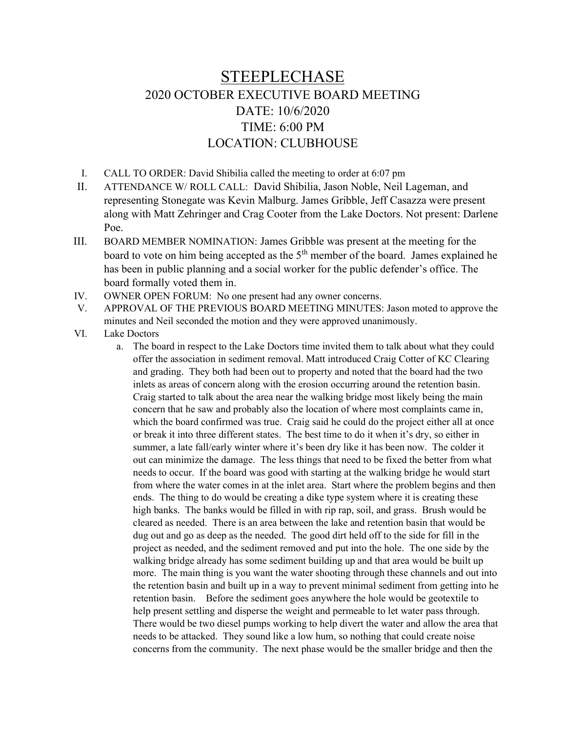## STEEPLECHASE 2020 OCTOBER EXECUTIVE BOARD MEETING DATE: 10/6/2020 TIME: 6:00 PM LOCATION: CLUBHOUSE

- I. CALL TO ORDER: David Shibilia called the meeting to order at 6:07 pm
- II. ATTENDANCE W/ ROLL CALL: David Shibilia, Jason Noble, Neil Lageman, and representing Stonegate was Kevin Malburg. James Gribble, Jeff Casazza were present along with Matt Zehringer and Crag Cooter from the Lake Doctors. Not present: Darlene Poe.
- III. BOARD MEMBER NOMINATION: James Gribble was present at the meeting for the board to vote on him being accepted as the  $5<sup>th</sup>$  member of the board. James explained he has been in public planning and a social worker for the public defender's office. The board formally voted them in.
- IV. OWNER OPEN FORUM: No one present had any owner concerns.
- V. APPROVAL OF THE PREVIOUS BOARD MEETING MINUTES: Jason moted to approve the minutes and Neil seconded the motion and they were approved unanimously.
- VI. Lake Doctors
	- a. The board in respect to the Lake Doctors time invited them to talk about what they could offer the association in sediment removal. Matt introduced Craig Cotter of KC Clearing and grading. They both had been out to property and noted that the board had the two inlets as areas of concern along with the erosion occurring around the retention basin. Craig started to talk about the area near the walking bridge most likely being the main concern that he saw and probably also the location of where most complaints came in, which the board confirmed was true. Craig said he could do the project either all at once or break it into three different states. The best time to do it when it's dry, so either in summer, a late fall/early winter where it's been dry like it has been now. The colder it out can minimize the damage. The less things that need to be fixed the better from what needs to occur. If the board was good with starting at the walking bridge he would start from where the water comes in at the inlet area. Start where the problem begins and then ends. The thing to do would be creating a dike type system where it is creating these high banks. The banks would be filled in with rip rap, soil, and grass. Brush would be cleared as needed. There is an area between the lake and retention basin that would be dug out and go as deep as the needed. The good dirt held off to the side for fill in the project as needed, and the sediment removed and put into the hole. The one side by the walking bridge already has some sediment building up and that area would be built up more. The main thing is you want the water shooting through these channels and out into the retention basin and built up in a way to prevent minimal sediment from getting into he retention basin. Before the sediment goes anywhere the hole would be geotextile to help present settling and disperse the weight and permeable to let water pass through. There would be two diesel pumps working to help divert the water and allow the area that needs to be attacked. They sound like a low hum, so nothing that could create noise concerns from the community. The next phase would be the smaller bridge and then the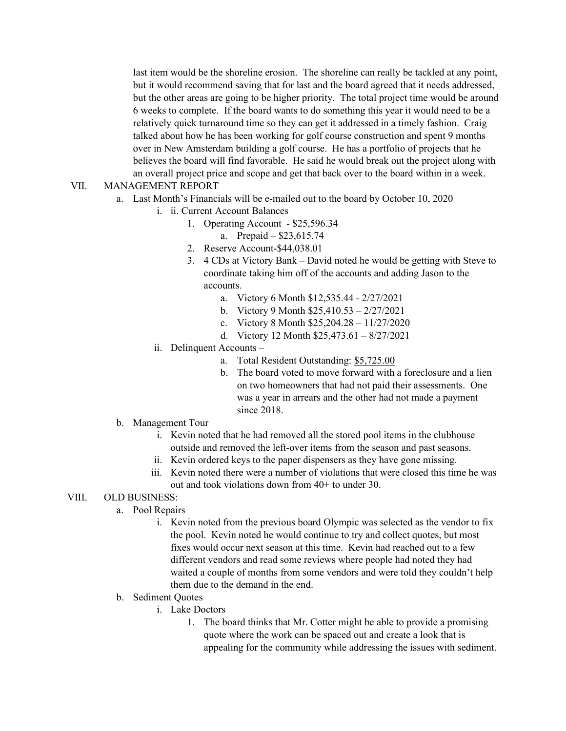last item would be the shoreline erosion. The shoreline can really be tackled at any point, but it would recommend saving that for last and the board agreed that it needs addressed, but the other areas are going to be higher priority. The total project time would be around 6 weeks to complete. If the board wants to do something this year it would need to be a relatively quick turnaround time so they can get it addressed in a timely fashion. Craig talked about how he has been working for golf course construction and spent 9 months over in New Amsterdam building a golf course. He has a portfolio of projects that he believes the board will find favorable. He said he would break out the project along with an overall project price and scope and get that back over to the board within in a week.

## VII. MANAGEMENT REPORT

- a. Last Month's Financials will be e-mailed out to the board by October 10, 2020
	- i. ii. Current Account Balances
		- 1. Operating Account \$25,596.34
			- a. Prepaid \$23,615.74
		- 2. Reserve Account-\$44,038.01
		- 3. 4 CDs at Victory Bank David noted he would be getting with Steve to coordinate taking him off of the accounts and adding Jason to the accounts.
			- a. Victory 6 Month \$12,535.44 2/27/2021
			- b. Victory 9 Month \$25,410.53 2/27/2021
			- c. Victory 8 Month \$25,204.28 11/27/2020
			- d. Victory 12 Month \$25,473.61 8/27/2021
	- ii. Delinquent Accounts
		- a. Total Resident Outstanding: \$5,725.00
		- b. The board voted to move forward with a foreclosure and a lien on two homeowners that had not paid their assessments. One was a year in arrears and the other had not made a payment since 2018.
- b. Management Tour
	- i. Kevin noted that he had removed all the stored pool items in the clubhouse outside and removed the left-over items from the season and past seasons.
	- ii. Kevin ordered keys to the paper dispensers as they have gone missing.
	- iii. Kevin noted there were a number of violations that were closed this time he was out and took violations down from 40+ to under 30.

## VIII. OLD BUSINESS:

- a. Pool Repairs
	- i. Kevin noted from the previous board Olympic was selected as the vendor to fix the pool. Kevin noted he would continue to try and collect quotes, but most fixes would occur next season at this time. Kevin had reached out to a few different vendors and read some reviews where people had noted they had waited a couple of months from some vendors and were told they couldn't help them due to the demand in the end.
- b. Sediment Quotes
	- i. Lake Doctors
		- 1. The board thinks that Mr. Cotter might be able to provide a promising quote where the work can be spaced out and create a look that is appealing for the community while addressing the issues with sediment.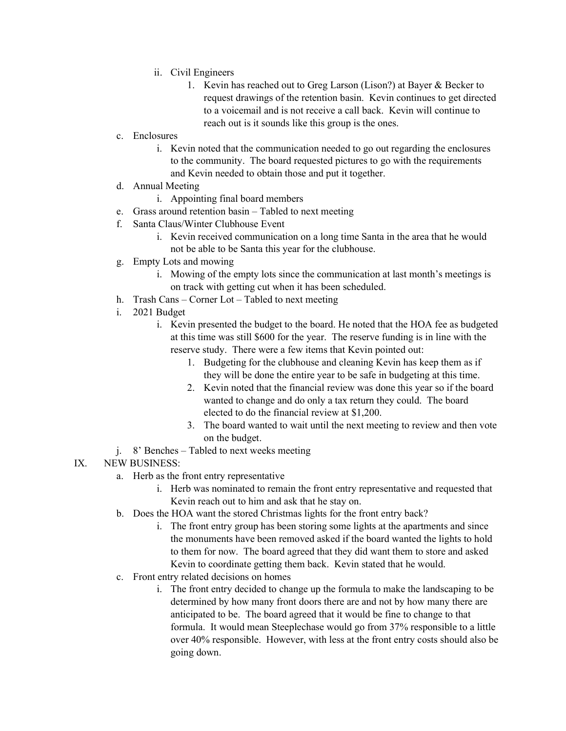- ii. Civil Engineers
	- 1. Kevin has reached out to Greg Larson (Lison?) at Bayer & Becker to request drawings of the retention basin. Kevin continues to get directed to a voicemail and is not receive a call back. Kevin will continue to reach out is it sounds like this group is the ones.
- c. Enclosures
	- i. Kevin noted that the communication needed to go out regarding the enclosures to the community. The board requested pictures to go with the requirements and Kevin needed to obtain those and put it together.
- d. Annual Meeting
	- i. Appointing final board members
- e. Grass around retention basin Tabled to next meeting
- f. Santa Claus/Winter Clubhouse Event
	- i. Kevin received communication on a long time Santa in the area that he would not be able to be Santa this year for the clubhouse.
- g. Empty Lots and mowing
	- i. Mowing of the empty lots since the communication at last month's meetings is on track with getting cut when it has been scheduled.
- h. Trash Cans Corner Lot Tabled to next meeting
- i. 2021 Budget
	- i. Kevin presented the budget to the board. He noted that the HOA fee as budgeted at this time was still \$600 for the year. The reserve funding is in line with the reserve study. There were a few items that Kevin pointed out:
		- 1. Budgeting for the clubhouse and cleaning Kevin has keep them as if they will be done the entire year to be safe in budgeting at this time.
		- 2. Kevin noted that the financial review was done this year so if the board wanted to change and do only a tax return they could. The board elected to do the financial review at \$1,200.
		- 3. The board wanted to wait until the next meeting to review and then vote on the budget.
- j. 8' Benches Tabled to next weeks meeting
- IX. NEW BUSINESS:
	- a. Herb as the front entry representative
		- i. Herb was nominated to remain the front entry representative and requested that Kevin reach out to him and ask that he stay on.
	- b. Does the HOA want the stored Christmas lights for the front entry back?
		- i. The front entry group has been storing some lights at the apartments and since the monuments have been removed asked if the board wanted the lights to hold to them for now. The board agreed that they did want them to store and asked Kevin to coordinate getting them back. Kevin stated that he would.
	- c. Front entry related decisions on homes
		- i. The front entry decided to change up the formula to make the landscaping to be determined by how many front doors there are and not by how many there are anticipated to be. The board agreed that it would be fine to change to that formula. It would mean Steeplechase would go from 37% responsible to a little over 40% responsible. However, with less at the front entry costs should also be going down.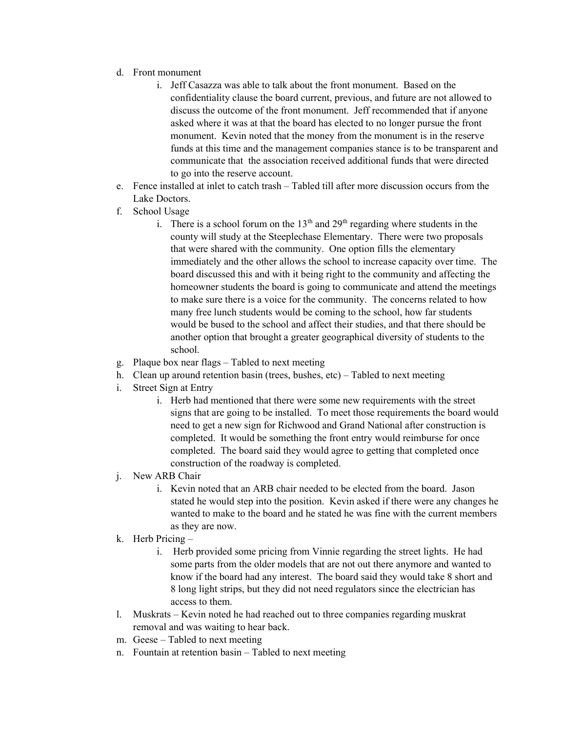- d. Front monument
	- i. Jeff Casazza was able to talk about the front monument. Based on the confidentiality clause the board current, previous, and future are not allowed to discuss the outcome of the front monument. Jeff recommended that if anyone asked where it was at that the board has elected to no longer pursue the front monument. Kevin noted that the money from the monument is in the reserve funds at this time and the management companies stance is to be transparent and communicate that the association received additional funds that were directed to go into the reserve account.
- e. Fence installed at inlet to catch trash Tabled till after more discussion occurs from the Lake Doctors.
- f. School Usage
	- i. There is a school forum on the  $13<sup>th</sup>$  and  $29<sup>th</sup>$  regarding where students in the county will study at the Steeplechase Elementary. There were two proposals that were shared with the community. One option fills the elementary immediately and the other allows the school to increase capacity over time. The board discussed this and with it being right to the community and affecting the homeowner students the board is going to communicate and attend the meetings to make sure there is a voice for the community. The concerns related to how many free lunch students would be coming to the school, how far students would be bused to the school and affect their studies, and that there should be another option that brought a greater geographical diversity of students to the school.
- g. Plaque box near flags Tabled to next meeting
- h. Clean up around retention basin (trees, bushes, etc) Tabled to next meeting
- i. Street Sign at Entry
	- i. Herb had mentioned that there were some new requirements with the street signs that are going to be installed. To meet those requirements the board would need to get a new sign for Richwood and Grand National after construction is completed. It would be something the front entry would reimburse for once completed. The board said they would agree to getting that completed once construction of the roadway is completed.
- j. New ARB Chair
	- i. Kevin noted that an ARB chair needed to be elected from the board. Jason stated he would step into the position. Kevin asked if there were any changes he wanted to make to the board and he stated he was fine with the current members as they are now.
- k. Herb Pricing
	- i. Herb provided some pricing from Vinnie regarding the street lights. He had some parts from the older models that are not out there anymore and wanted to know if the board had any interest. The board said they would take 8 short and 8 long light strips, but they did not need regulators since the electrician has access to them.
- l. Muskrats Kevin noted he had reached out to three companies regarding muskrat removal and was waiting to hear back.
- m. Geese Tabled to next meeting
- n. Fountain at retention basin Tabled to next meeting